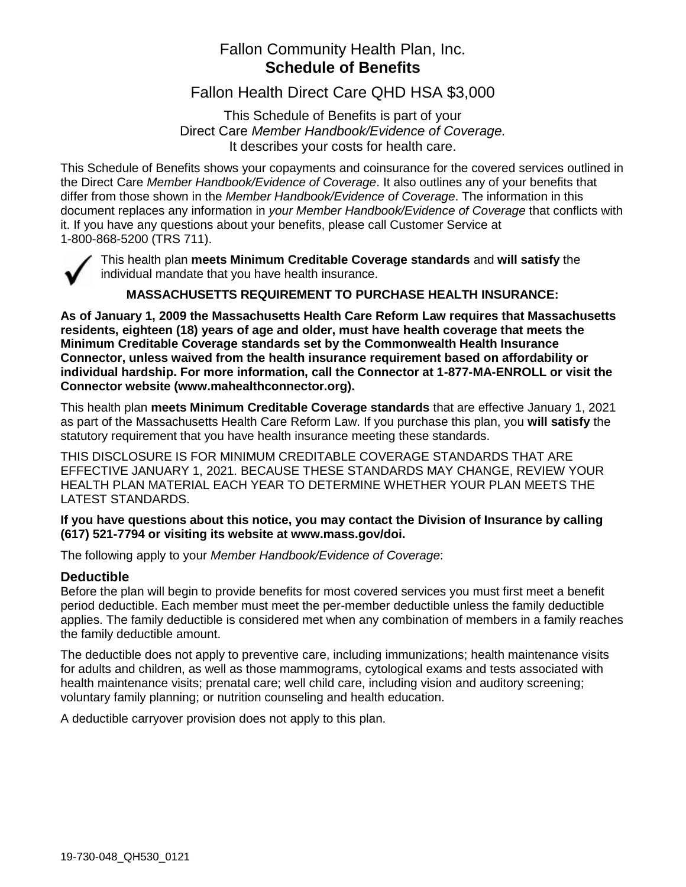## Fallon Community Health Plan, Inc. **Schedule of Benefits**

Fallon Health Direct Care QHD HSA \$3,000

This Schedule of Benefits is part of your Direct Care *Member Handbook/Evidence of Coverage.* It describes your costs for health care.

This Schedule of Benefits shows your copayments and coinsurance for the covered services outlined in the Direct Care *Member Handbook/Evidence of Coverage*. It also outlines any of your benefits that differ from those shown in the *Member Handbook/Evidence of Coverage*. The information in this document replaces any information in *your Member Handbook/Evidence of Coverage* that conflicts with it. If you have any questions about your benefits, please call Customer Service at 1-800-868-5200 (TRS 711).



This health plan **meets Minimum Creditable Coverage standards** and **will satisfy** the individual mandate that you have health insurance.

### **MASSACHUSETTS REQUIREMENT TO PURCHASE HEALTH INSURANCE:**

**As of January 1, 2009 the Massachusetts Health Care Reform Law requires that Massachusetts residents, eighteen (18) years of age and older, must have health coverage that meets the Minimum Creditable Coverage standards set by the Commonwealth Health Insurance Connector, unless waived from the health insurance requirement based on affordability or individual hardship. For more information, call the Connector at 1-877-MA-ENROLL or visit the Connector website (www.mahealthconnector.org).** 

This health plan **meets Minimum Creditable Coverage standards** that are effective January 1, 2021 as part of the Massachusetts Health Care Reform Law. If you purchase this plan, you **will satisfy** the statutory requirement that you have health insurance meeting these standards.

THIS DISCLOSURE IS FOR MINIMUM CREDITABLE COVERAGE STANDARDS THAT ARE EFFECTIVE JANUARY 1, 2021. BECAUSE THESE STANDARDS MAY CHANGE, REVIEW YOUR HEALTH PLAN MATERIAL EACH YEAR TO DETERMINE WHETHER YOUR PLAN MEETS THE LATEST STANDARDS.

### **If you have questions about this notice, you may contact the Division of Insurance by calling (617) 521-7794 or visiting its website at www.mass.gov/doi.**

The following apply to your *Member Handbook/Evidence of Coverage*:

### **Deductible**

Before the plan will begin to provide benefits for most covered services you must first meet a benefit period deductible. Each member must meet the per-member deductible unless the family deductible applies. The family deductible is considered met when any combination of members in a family reaches the family deductible amount.

The deductible does not apply to preventive care, including immunizations; health maintenance visits for adults and children, as well as those mammograms, cytological exams and tests associated with health maintenance visits; prenatal care; well child care, including vision and auditory screening; voluntary family planning; or nutrition counseling and health education.

A deductible carryover provision does not apply to this plan.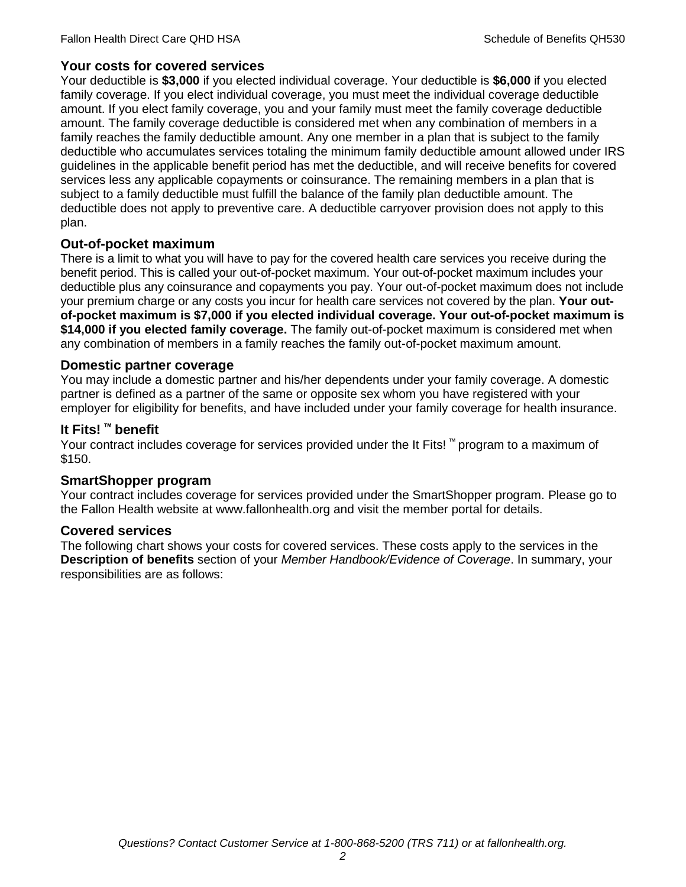## **Your costs for covered services**

Your deductible is **\$3,000** if you elected individual coverage. Your deductible is **\$6,000** if you elected family coverage. If you elect individual coverage, you must meet the individual coverage deductible amount. If you elect family coverage, you and your family must meet the family coverage deductible amount. The family coverage deductible is considered met when any combination of members in a family reaches the family deductible amount. Any one member in a plan that is subject to the family deductible who accumulates services totaling the minimum family deductible amount allowed under IRS guidelines in the applicable benefit period has met the deductible, and will receive benefits for covered services less any applicable copayments or coinsurance. The remaining members in a plan that is subject to a family deductible must fulfill the balance of the family plan deductible amount. The deductible does not apply to preventive care. A deductible carryover provision does not apply to this plan.

## **Out-of-pocket maximum**

There is a limit to what you will have to pay for the covered health care services you receive during the benefit period. This is called your out-of-pocket maximum. Your out-of-pocket maximum includes your deductible plus any coinsurance and copayments you pay. Your out-of-pocket maximum does not include your premium charge or any costs you incur for health care services not covered by the plan. **Your outof-pocket maximum is \$7,000 if you elected individual coverage. Your out-of-pocket maximum is \$14,000 if you elected family coverage.** The family out-of-pocket maximum is considered met when any combination of members in a family reaches the family out-of-pocket maximum amount.

### **Domestic partner coverage**

You may include a domestic partner and his/her dependents under your family coverage. A domestic partner is defined as a partner of the same or opposite sex whom you have registered with your employer for eligibility for benefits, and have included under your family coverage for health insurance.

## **It Fits! ™ benefit**

Your contract includes coverage for services provided under the It Fits! ™ program to a maximum of \$150.

### **SmartShopper program**

Your contract includes coverage for services provided under the SmartShopper program. Please go to the Fallon Health website at www.fallonhealth.org and visit the member portal for details.

### **Covered services**

The following chart shows your costs for covered services. These costs apply to the services in the **Description of benefits** section of your *Member Handbook/Evidence of Coverage*. In summary, your responsibilities are as follows: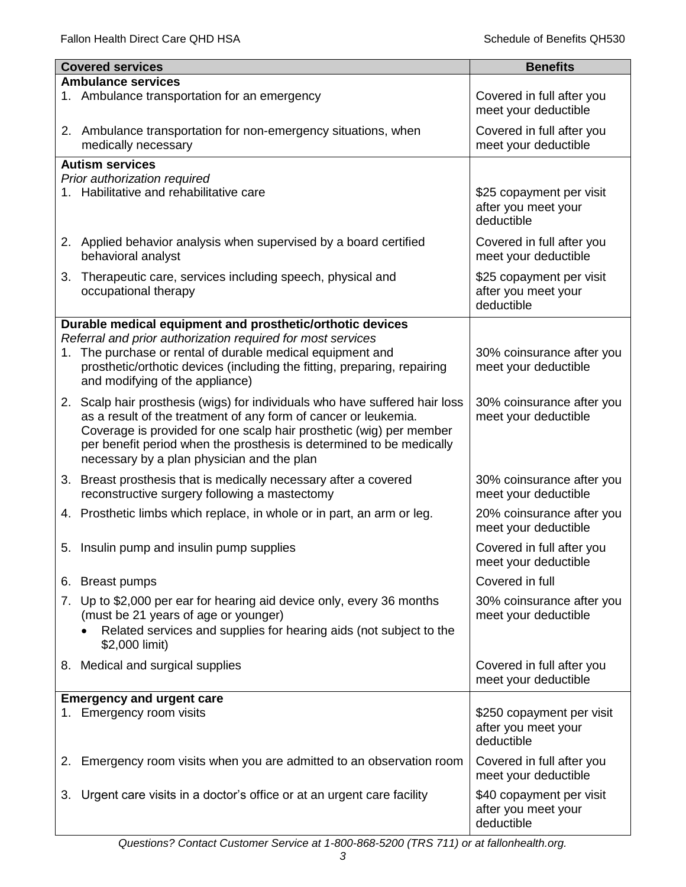|    | <b>Covered services</b>                                                                                                                                                                                                                                      | <b>Benefits</b>                                                |
|----|--------------------------------------------------------------------------------------------------------------------------------------------------------------------------------------------------------------------------------------------------------------|----------------------------------------------------------------|
|    | <b>Ambulance services</b>                                                                                                                                                                                                                                    |                                                                |
|    | 1. Ambulance transportation for an emergency                                                                                                                                                                                                                 | Covered in full after you<br>meet your deductible              |
|    | 2. Ambulance transportation for non-emergency situations, when<br>medically necessary                                                                                                                                                                        | Covered in full after you<br>meet your deductible              |
|    | <b>Autism services</b>                                                                                                                                                                                                                                       |                                                                |
|    | Prior authorization required                                                                                                                                                                                                                                 |                                                                |
|    | 1. Habilitative and rehabilitative care                                                                                                                                                                                                                      | \$25 copayment per visit<br>after you meet your<br>deductible  |
|    | 2. Applied behavior analysis when supervised by a board certified<br>behavioral analyst                                                                                                                                                                      | Covered in full after you<br>meet your deductible              |
| 3. | Therapeutic care, services including speech, physical and<br>occupational therapy                                                                                                                                                                            | \$25 copayment per visit<br>after you meet your<br>deductible  |
|    | Durable medical equipment and prosthetic/orthotic devices                                                                                                                                                                                                    |                                                                |
|    | Referral and prior authorization required for most services                                                                                                                                                                                                  |                                                                |
|    | 1. The purchase or rental of durable medical equipment and<br>prosthetic/orthotic devices (including the fitting, preparing, repairing<br>and modifying of the appliance)                                                                                    | 30% coinsurance after you<br>meet your deductible              |
|    | 2. Scalp hair prosthesis (wigs) for individuals who have suffered hair loss                                                                                                                                                                                  | 30% coinsurance after you                                      |
|    | as a result of the treatment of any form of cancer or leukemia.<br>Coverage is provided for one scalp hair prosthetic (wig) per member<br>per benefit period when the prosthesis is determined to be medically<br>necessary by a plan physician and the plan | meet your deductible                                           |
|    | 3. Breast prosthesis that is medically necessary after a covered                                                                                                                                                                                             | 30% coinsurance after you                                      |
|    | reconstructive surgery following a mastectomy                                                                                                                                                                                                                | meet your deductible                                           |
|    | 4. Prosthetic limbs which replace, in whole or in part, an arm or leg.                                                                                                                                                                                       | 20% coinsurance after you<br>meet your deductible              |
|    | 5. Insulin pump and insulin pump supplies                                                                                                                                                                                                                    | Covered in full after you<br>meet your deductible              |
|    | 6. Breast pumps                                                                                                                                                                                                                                              | Covered in full                                                |
|    | 7. Up to \$2,000 per ear for hearing aid device only, every 36 months<br>(must be 21 years of age or younger)<br>Related services and supplies for hearing aids (not subject to the<br>\$2,000 limit)                                                        | 30% coinsurance after you<br>meet your deductible              |
|    | 8. Medical and surgical supplies                                                                                                                                                                                                                             | Covered in full after you<br>meet your deductible              |
|    | <b>Emergency and urgent care</b>                                                                                                                                                                                                                             |                                                                |
|    | 1. Emergency room visits                                                                                                                                                                                                                                     | \$250 copayment per visit<br>after you meet your<br>deductible |
| 2. | Emergency room visits when you are admitted to an observation room                                                                                                                                                                                           | Covered in full after you<br>meet your deductible              |
| 3. | Urgent care visits in a doctor's office or at an urgent care facility                                                                                                                                                                                        | \$40 copayment per visit<br>after you meet your<br>deductible  |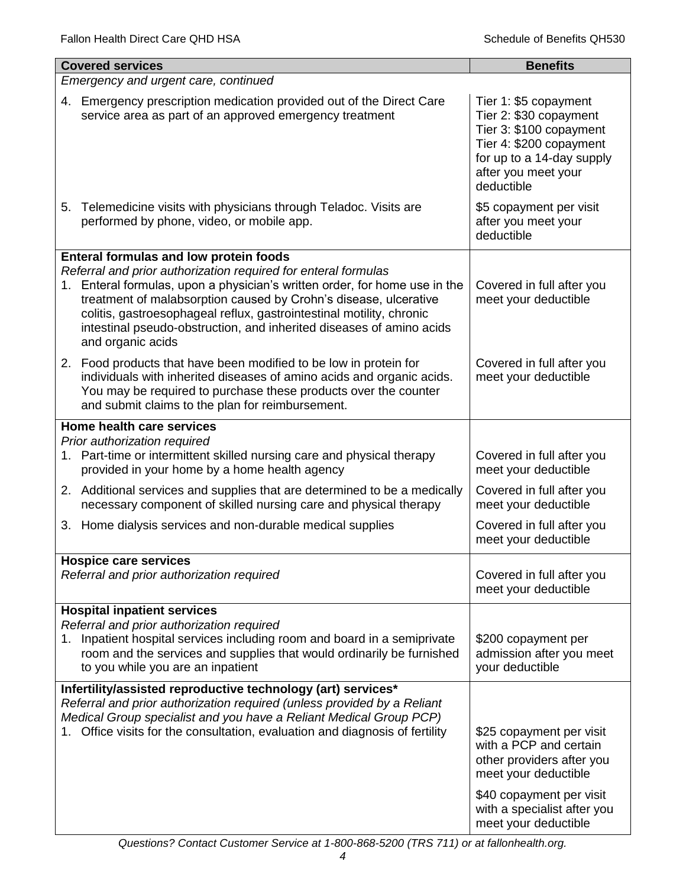|                                      | <b>Covered services</b>                                                                                                                                                                                                                                                                                                                                                               | <b>Benefits</b>                                                                                                                                                                            |  |
|--------------------------------------|---------------------------------------------------------------------------------------------------------------------------------------------------------------------------------------------------------------------------------------------------------------------------------------------------------------------------------------------------------------------------------------|--------------------------------------------------------------------------------------------------------------------------------------------------------------------------------------------|--|
| Emergency and urgent care, continued |                                                                                                                                                                                                                                                                                                                                                                                       |                                                                                                                                                                                            |  |
|                                      | 4. Emergency prescription medication provided out of the Direct Care<br>service area as part of an approved emergency treatment                                                                                                                                                                                                                                                       | Tier 1: \$5 copayment<br>Tier 2: \$30 copayment<br>Tier 3: \$100 copayment<br>Tier 4: \$200 copayment<br>for up to a 14-day supply<br>after you meet your<br>deductible                    |  |
|                                      | 5. Telemedicine visits with physicians through Teladoc. Visits are<br>performed by phone, video, or mobile app.                                                                                                                                                                                                                                                                       | \$5 copayment per visit<br>after you meet your<br>deductible                                                                                                                               |  |
|                                      | <b>Enteral formulas and low protein foods</b>                                                                                                                                                                                                                                                                                                                                         |                                                                                                                                                                                            |  |
|                                      | Referral and prior authorization required for enteral formulas<br>1. Enteral formulas, upon a physician's written order, for home use in the<br>treatment of malabsorption caused by Crohn's disease, ulcerative<br>colitis, gastroesophageal reflux, gastrointestinal motility, chronic<br>intestinal pseudo-obstruction, and inherited diseases of amino acids<br>and organic acids | Covered in full after you<br>meet your deductible                                                                                                                                          |  |
|                                      | 2. Food products that have been modified to be low in protein for<br>individuals with inherited diseases of amino acids and organic acids.<br>You may be required to purchase these products over the counter<br>and submit claims to the plan for reimbursement.                                                                                                                     | Covered in full after you<br>meet your deductible                                                                                                                                          |  |
|                                      | Home health care services                                                                                                                                                                                                                                                                                                                                                             |                                                                                                                                                                                            |  |
|                                      | Prior authorization required<br>1. Part-time or intermittent skilled nursing care and physical therapy<br>provided in your home by a home health agency                                                                                                                                                                                                                               | Covered in full after you<br>meet your deductible                                                                                                                                          |  |
|                                      | 2. Additional services and supplies that are determined to be a medically<br>necessary component of skilled nursing care and physical therapy                                                                                                                                                                                                                                         | Covered in full after you<br>meet your deductible                                                                                                                                          |  |
|                                      | 3. Home dialysis services and non-durable medical supplies                                                                                                                                                                                                                                                                                                                            | Covered in full after you<br>meet your deductible                                                                                                                                          |  |
|                                      | <b>Hospice care services</b>                                                                                                                                                                                                                                                                                                                                                          |                                                                                                                                                                                            |  |
|                                      | Referral and prior authorization required                                                                                                                                                                                                                                                                                                                                             | Covered in full after you<br>meet your deductible                                                                                                                                          |  |
| 1.                                   | <b>Hospital inpatient services</b><br>Referral and prior authorization required<br>Inpatient hospital services including room and board in a semiprivate<br>room and the services and supplies that would ordinarily be furnished<br>to you while you are an inpatient                                                                                                                | \$200 copayment per<br>admission after you meet<br>your deductible                                                                                                                         |  |
|                                      | Infertility/assisted reproductive technology (art) services*                                                                                                                                                                                                                                                                                                                          |                                                                                                                                                                                            |  |
|                                      | Referral and prior authorization required (unless provided by a Reliant<br>Medical Group specialist and you have a Reliant Medical Group PCP)<br>Office visits for the consultation, evaluation and diagnosis of fertility                                                                                                                                                            | \$25 copayment per visit<br>with a PCP and certain<br>other providers after you<br>meet your deductible<br>\$40 copayment per visit<br>with a specialist after you<br>meet your deductible |  |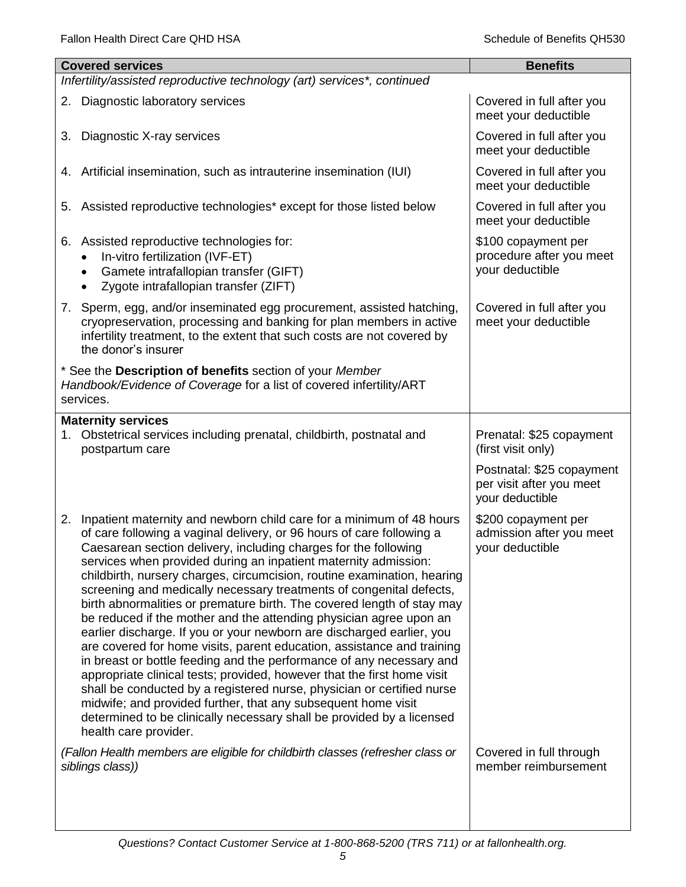| <b>Covered services</b>                                                                                                                                                                                                                                                                                                                                                                                                                                                                                                                                                                                                                                                                                                                                                                                                                                                                                                                                                                                                                                                                                                                        | <b>Benefits</b>                                                          |
|------------------------------------------------------------------------------------------------------------------------------------------------------------------------------------------------------------------------------------------------------------------------------------------------------------------------------------------------------------------------------------------------------------------------------------------------------------------------------------------------------------------------------------------------------------------------------------------------------------------------------------------------------------------------------------------------------------------------------------------------------------------------------------------------------------------------------------------------------------------------------------------------------------------------------------------------------------------------------------------------------------------------------------------------------------------------------------------------------------------------------------------------|--------------------------------------------------------------------------|
| Infertility/assisted reproductive technology (art) services*, continued                                                                                                                                                                                                                                                                                                                                                                                                                                                                                                                                                                                                                                                                                                                                                                                                                                                                                                                                                                                                                                                                        |                                                                          |
| 2. Diagnostic laboratory services                                                                                                                                                                                                                                                                                                                                                                                                                                                                                                                                                                                                                                                                                                                                                                                                                                                                                                                                                                                                                                                                                                              | Covered in full after you<br>meet your deductible                        |
| Diagnostic X-ray services<br>3.                                                                                                                                                                                                                                                                                                                                                                                                                                                                                                                                                                                                                                                                                                                                                                                                                                                                                                                                                                                                                                                                                                                | Covered in full after you<br>meet your deductible                        |
| 4. Artificial insemination, such as intrauterine insemination (IUI)                                                                                                                                                                                                                                                                                                                                                                                                                                                                                                                                                                                                                                                                                                                                                                                                                                                                                                                                                                                                                                                                            | Covered in full after you<br>meet your deductible                        |
| 5. Assisted reproductive technologies* except for those listed below                                                                                                                                                                                                                                                                                                                                                                                                                                                                                                                                                                                                                                                                                                                                                                                                                                                                                                                                                                                                                                                                           | Covered in full after you<br>meet your deductible                        |
| 6. Assisted reproductive technologies for:<br>In-vitro fertilization (IVF-ET)<br>$\bullet$<br>Gamete intrafallopian transfer (GIFT)<br>$\bullet$<br>Zygote intrafallopian transfer (ZIFT)                                                                                                                                                                                                                                                                                                                                                                                                                                                                                                                                                                                                                                                                                                                                                                                                                                                                                                                                                      | \$100 copayment per<br>procedure after you meet<br>your deductible       |
| 7. Sperm, egg, and/or inseminated egg procurement, assisted hatching,<br>cryopreservation, processing and banking for plan members in active<br>infertility treatment, to the extent that such costs are not covered by<br>the donor's insurer                                                                                                                                                                                                                                                                                                                                                                                                                                                                                                                                                                                                                                                                                                                                                                                                                                                                                                 | Covered in full after you<br>meet your deductible                        |
| * See the Description of benefits section of your Member<br>Handbook/Evidence of Coverage for a list of covered infertility/ART<br>services.                                                                                                                                                                                                                                                                                                                                                                                                                                                                                                                                                                                                                                                                                                                                                                                                                                                                                                                                                                                                   |                                                                          |
| <b>Maternity services</b><br>1. Obstetrical services including prenatal, childbirth, postnatal and<br>postpartum care                                                                                                                                                                                                                                                                                                                                                                                                                                                                                                                                                                                                                                                                                                                                                                                                                                                                                                                                                                                                                          | Prenatal: \$25 copayment<br>(first visit only)                           |
|                                                                                                                                                                                                                                                                                                                                                                                                                                                                                                                                                                                                                                                                                                                                                                                                                                                                                                                                                                                                                                                                                                                                                | Postnatal: \$25 copayment<br>per visit after you meet<br>your deductible |
| Inpatient maternity and newborn child care for a minimum of 48 hours<br>2.<br>of care following a vaginal delivery, or 96 hours of care following a<br>Caesarean section delivery, including charges for the following<br>services when provided during an inpatient maternity admission:<br>childbirth, nursery charges, circumcision, routine examination, hearing<br>screening and medically necessary treatments of congenital defects,<br>birth abnormalities or premature birth. The covered length of stay may<br>be reduced if the mother and the attending physician agree upon an<br>earlier discharge. If you or your newborn are discharged earlier, you<br>are covered for home visits, parent education, assistance and training<br>in breast or bottle feeding and the performance of any necessary and<br>appropriate clinical tests; provided, however that the first home visit<br>shall be conducted by a registered nurse, physician or certified nurse<br>midwife; and provided further, that any subsequent home visit<br>determined to be clinically necessary shall be provided by a licensed<br>health care provider. | \$200 copayment per<br>admission after you meet<br>your deductible       |
| (Fallon Health members are eligible for childbirth classes (refresher class or<br>siblings class))                                                                                                                                                                                                                                                                                                                                                                                                                                                                                                                                                                                                                                                                                                                                                                                                                                                                                                                                                                                                                                             | Covered in full through<br>member reimbursement                          |
|                                                                                                                                                                                                                                                                                                                                                                                                                                                                                                                                                                                                                                                                                                                                                                                                                                                                                                                                                                                                                                                                                                                                                |                                                                          |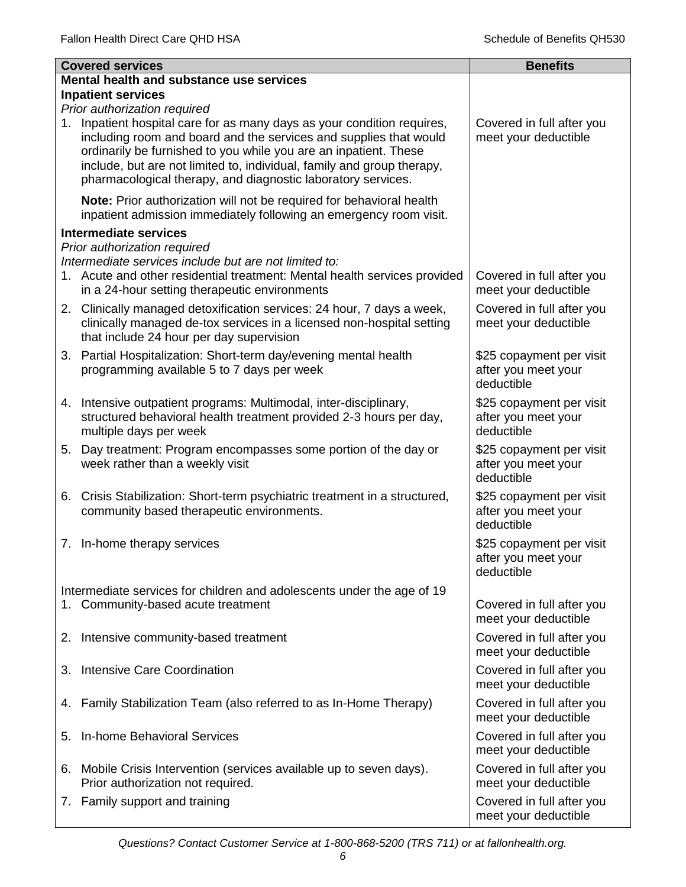|    | <b>Covered services</b>                                                                                                                                                                                                                                                                                                                                                                 | <b>Benefits</b>                                               |
|----|-----------------------------------------------------------------------------------------------------------------------------------------------------------------------------------------------------------------------------------------------------------------------------------------------------------------------------------------------------------------------------------------|---------------------------------------------------------------|
|    | Mental health and substance use services                                                                                                                                                                                                                                                                                                                                                |                                                               |
|    | <b>Inpatient services</b>                                                                                                                                                                                                                                                                                                                                                               |                                                               |
| 1. | Prior authorization required<br>Inpatient hospital care for as many days as your condition requires,<br>including room and board and the services and supplies that would<br>ordinarily be furnished to you while you are an inpatient. These<br>include, but are not limited to, individual, family and group therapy,<br>pharmacological therapy, and diagnostic laboratory services. | Covered in full after you<br>meet your deductible             |
|    | Note: Prior authorization will not be required for behavioral health<br>inpatient admission immediately following an emergency room visit.                                                                                                                                                                                                                                              |                                                               |
|    | <b>Intermediate services</b>                                                                                                                                                                                                                                                                                                                                                            |                                                               |
|    | Prior authorization required                                                                                                                                                                                                                                                                                                                                                            |                                                               |
|    | Intermediate services include but are not limited to:<br>1. Acute and other residential treatment: Mental health services provided<br>in a 24-hour setting therapeutic environments                                                                                                                                                                                                     | Covered in full after you<br>meet your deductible             |
|    | 2. Clinically managed detoxification services: 24 hour, 7 days a week,<br>clinically managed de-tox services in a licensed non-hospital setting<br>that include 24 hour per day supervision                                                                                                                                                                                             | Covered in full after you<br>meet your deductible             |
|    | 3. Partial Hospitalization: Short-term day/evening mental health<br>programming available 5 to 7 days per week                                                                                                                                                                                                                                                                          | \$25 copayment per visit<br>after you meet your<br>deductible |
|    | 4. Intensive outpatient programs: Multimodal, inter-disciplinary,<br>structured behavioral health treatment provided 2-3 hours per day,<br>multiple days per week                                                                                                                                                                                                                       | \$25 copayment per visit<br>after you meet your<br>deductible |
|    | 5. Day treatment: Program encompasses some portion of the day or<br>week rather than a weekly visit                                                                                                                                                                                                                                                                                     | \$25 copayment per visit<br>after you meet your<br>deductible |
|    | 6. Crisis Stabilization: Short-term psychiatric treatment in a structured,<br>community based therapeutic environments.                                                                                                                                                                                                                                                                 | \$25 copayment per visit<br>after you meet your<br>deductible |
|    | 7. In-home therapy services                                                                                                                                                                                                                                                                                                                                                             | \$25 copayment per visit<br>after you meet your<br>deductible |
|    | Intermediate services for children and adolescents under the age of 19                                                                                                                                                                                                                                                                                                                  |                                                               |
|    | 1. Community-based acute treatment                                                                                                                                                                                                                                                                                                                                                      | Covered in full after you<br>meet your deductible             |
| 2. | Intensive community-based treatment                                                                                                                                                                                                                                                                                                                                                     | Covered in full after you<br>meet your deductible             |
| 3. | Intensive Care Coordination                                                                                                                                                                                                                                                                                                                                                             | Covered in full after you<br>meet your deductible             |
| 4. | Family Stabilization Team (also referred to as In-Home Therapy)                                                                                                                                                                                                                                                                                                                         | Covered in full after you<br>meet your deductible             |
| 5. | In-home Behavioral Services                                                                                                                                                                                                                                                                                                                                                             | Covered in full after you<br>meet your deductible             |
|    | 6. Mobile Crisis Intervention (services available up to seven days).<br>Prior authorization not required.                                                                                                                                                                                                                                                                               | Covered in full after you<br>meet your deductible             |
|    | 7. Family support and training                                                                                                                                                                                                                                                                                                                                                          | Covered in full after you<br>meet your deductible             |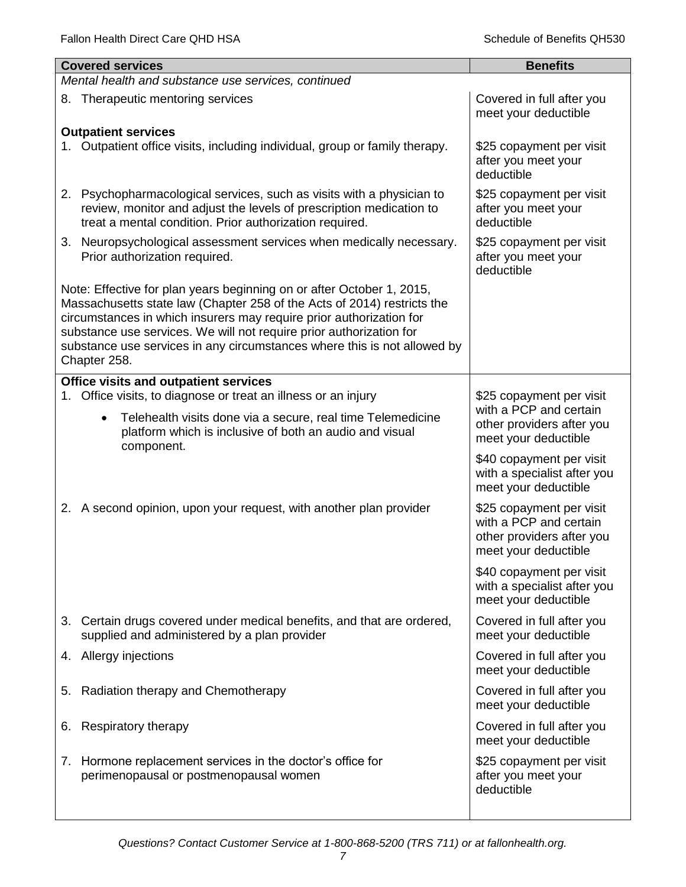| <b>Covered services</b>                                                                                                                                                                                                                                                                                                                                                                    | <b>Benefits</b>                                                                                         |
|--------------------------------------------------------------------------------------------------------------------------------------------------------------------------------------------------------------------------------------------------------------------------------------------------------------------------------------------------------------------------------------------|---------------------------------------------------------------------------------------------------------|
| Mental health and substance use services, continued                                                                                                                                                                                                                                                                                                                                        |                                                                                                         |
| 8. Therapeutic mentoring services                                                                                                                                                                                                                                                                                                                                                          | Covered in full after you<br>meet your deductible                                                       |
| <b>Outpatient services</b><br>Outpatient office visits, including individual, group or family therapy.                                                                                                                                                                                                                                                                                     | \$25 copayment per visit<br>after you meet your<br>deductible                                           |
| 2. Psychopharmacological services, such as visits with a physician to<br>review, monitor and adjust the levels of prescription medication to<br>treat a mental condition. Prior authorization required.                                                                                                                                                                                    | \$25 copayment per visit<br>after you meet your<br>deductible                                           |
| 3. Neuropsychological assessment services when medically necessary.<br>Prior authorization required.                                                                                                                                                                                                                                                                                       | \$25 copayment per visit<br>after you meet your<br>deductible                                           |
| Note: Effective for plan years beginning on or after October 1, 2015,<br>Massachusetts state law (Chapter 258 of the Acts of 2014) restricts the<br>circumstances in which insurers may require prior authorization for<br>substance use services. We will not require prior authorization for<br>substance use services in any circumstances where this is not allowed by<br>Chapter 258. |                                                                                                         |
| Office visits and outpatient services<br>Office visits, to diagnose or treat an illness or an injury<br>1.                                                                                                                                                                                                                                                                                 | \$25 copayment per visit                                                                                |
| Telehealth visits done via a secure, real time Telemedicine<br>$\bullet$<br>platform which is inclusive of both an audio and visual<br>component.                                                                                                                                                                                                                                          | with a PCP and certain<br>other providers after you<br>meet your deductible                             |
|                                                                                                                                                                                                                                                                                                                                                                                            | \$40 copayment per visit<br>with a specialist after you<br>meet your deductible                         |
| 2. A second opinion, upon your request, with another plan provider                                                                                                                                                                                                                                                                                                                         | \$25 copayment per visit<br>with a PCP and certain<br>other providers after you<br>meet your deductible |
|                                                                                                                                                                                                                                                                                                                                                                                            | \$40 copayment per visit<br>with a specialist after you<br>meet your deductible                         |
| 3. Certain drugs covered under medical benefits, and that are ordered,<br>supplied and administered by a plan provider                                                                                                                                                                                                                                                                     | Covered in full after you<br>meet your deductible                                                       |
| 4. Allergy injections                                                                                                                                                                                                                                                                                                                                                                      | Covered in full after you<br>meet your deductible                                                       |
| Radiation therapy and Chemotherapy<br>5.                                                                                                                                                                                                                                                                                                                                                   | Covered in full after you<br>meet your deductible                                                       |
| Respiratory therapy<br>6.                                                                                                                                                                                                                                                                                                                                                                  | Covered in full after you<br>meet your deductible                                                       |
| 7. Hormone replacement services in the doctor's office for<br>perimenopausal or postmenopausal women                                                                                                                                                                                                                                                                                       | \$25 copayment per visit<br>after you meet your<br>deductible                                           |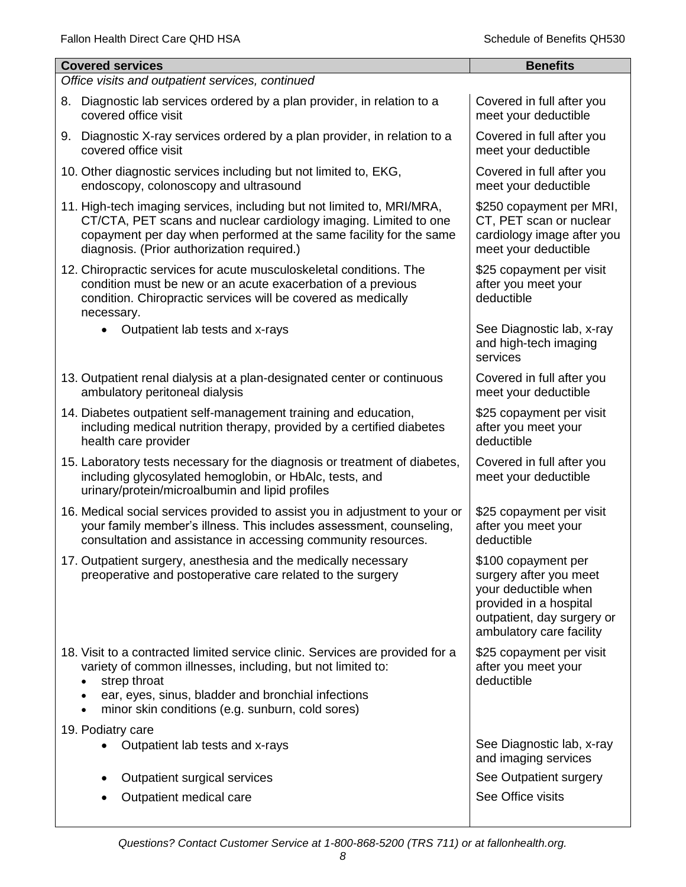| <b>Covered services</b>                                                                                                                                                                                                                                                | <b>Benefits</b>                                                                                                                                           |
|------------------------------------------------------------------------------------------------------------------------------------------------------------------------------------------------------------------------------------------------------------------------|-----------------------------------------------------------------------------------------------------------------------------------------------------------|
| Office visits and outpatient services, continued                                                                                                                                                                                                                       |                                                                                                                                                           |
| Diagnostic lab services ordered by a plan provider, in relation to a<br>8.<br>covered office visit                                                                                                                                                                     | Covered in full after you<br>meet your deductible                                                                                                         |
| 9. Diagnostic X-ray services ordered by a plan provider, in relation to a<br>covered office visit                                                                                                                                                                      | Covered in full after you<br>meet your deductible                                                                                                         |
| 10. Other diagnostic services including but not limited to, EKG,<br>endoscopy, colonoscopy and ultrasound                                                                                                                                                              | Covered in full after you<br>meet your deductible                                                                                                         |
| 11. High-tech imaging services, including but not limited to, MRI/MRA,<br>CT/CTA, PET scans and nuclear cardiology imaging. Limited to one<br>copayment per day when performed at the same facility for the same<br>diagnosis. (Prior authorization required.)         | \$250 copayment per MRI,<br>CT, PET scan or nuclear<br>cardiology image after you<br>meet your deductible                                                 |
| 12. Chiropractic services for acute musculoskeletal conditions. The<br>condition must be new or an acute exacerbation of a previous<br>condition. Chiropractic services will be covered as medically<br>necessary.                                                     | \$25 copayment per visit<br>after you meet your<br>deductible                                                                                             |
| Outpatient lab tests and x-rays                                                                                                                                                                                                                                        | See Diagnostic lab, x-ray<br>and high-tech imaging<br>services                                                                                            |
| 13. Outpatient renal dialysis at a plan-designated center or continuous<br>ambulatory peritoneal dialysis                                                                                                                                                              | Covered in full after you<br>meet your deductible                                                                                                         |
| 14. Diabetes outpatient self-management training and education,<br>including medical nutrition therapy, provided by a certified diabetes<br>health care provider                                                                                                       | \$25 copayment per visit<br>after you meet your<br>deductible                                                                                             |
| 15. Laboratory tests necessary for the diagnosis or treatment of diabetes,<br>including glycosylated hemoglobin, or HbAlc, tests, and<br>urinary/protein/microalbumin and lipid profiles                                                                               | Covered in full after you<br>meet your deductible                                                                                                         |
| 16. Medical social services provided to assist you in adjustment to your or<br>your family member's illness. This includes assessment, counseling,<br>consultation and assistance in accessing community resources.                                                    | \$25 copayment per visit<br>after you meet your<br>deductible                                                                                             |
| 17. Outpatient surgery, anesthesia and the medically necessary<br>preoperative and postoperative care related to the surgery                                                                                                                                           | \$100 copayment per<br>surgery after you meet<br>your deductible when<br>provided in a hospital<br>outpatient, day surgery or<br>ambulatory care facility |
| 18. Visit to a contracted limited service clinic. Services are provided for a<br>variety of common illnesses, including, but not limited to:<br>strep throat<br>ear, eyes, sinus, bladder and bronchial infections<br>minor skin conditions (e.g. sunburn, cold sores) | \$25 copayment per visit<br>after you meet your<br>deductible                                                                                             |
| 19. Podiatry care                                                                                                                                                                                                                                                      |                                                                                                                                                           |
| Outpatient lab tests and x-rays                                                                                                                                                                                                                                        | See Diagnostic lab, x-ray<br>and imaging services                                                                                                         |
| Outpatient surgical services                                                                                                                                                                                                                                           | See Outpatient surgery                                                                                                                                    |
| Outpatient medical care                                                                                                                                                                                                                                                | See Office visits                                                                                                                                         |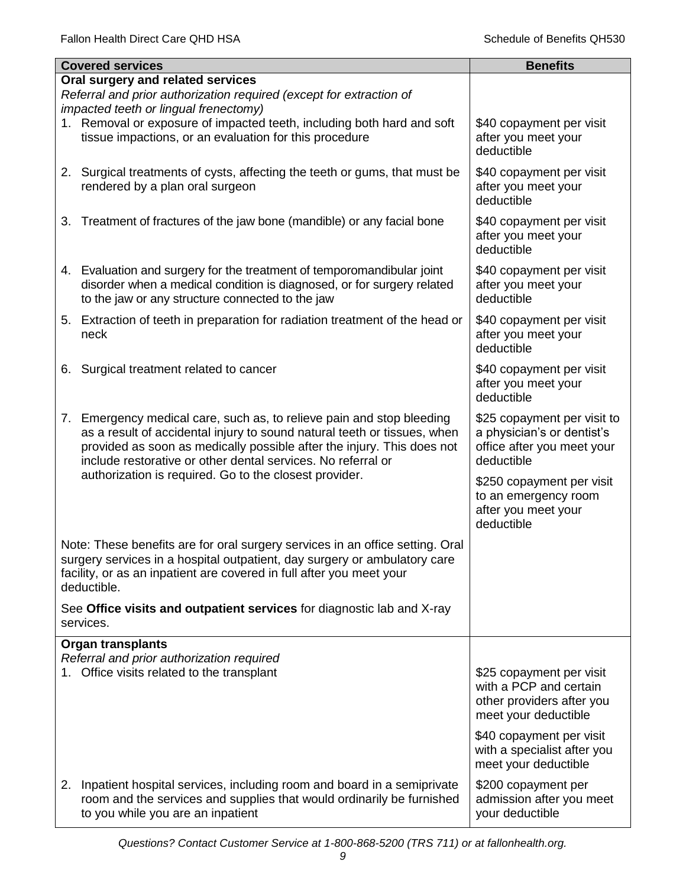|    | <b>Covered services</b>                                                                                                                                                                                                                                                                     | <b>Benefits</b>                                                                                         |
|----|---------------------------------------------------------------------------------------------------------------------------------------------------------------------------------------------------------------------------------------------------------------------------------------------|---------------------------------------------------------------------------------------------------------|
|    | Oral surgery and related services<br>Referral and prior authorization required (except for extraction of                                                                                                                                                                                    |                                                                                                         |
|    | impacted teeth or lingual frenectomy)                                                                                                                                                                                                                                                       |                                                                                                         |
|    | 1. Removal or exposure of impacted teeth, including both hard and soft<br>tissue impactions, or an evaluation for this procedure                                                                                                                                                            | \$40 copayment per visit<br>after you meet your<br>deductible                                           |
|    | 2. Surgical treatments of cysts, affecting the teeth or gums, that must be<br>rendered by a plan oral surgeon                                                                                                                                                                               | \$40 copayment per visit<br>after you meet your<br>deductible                                           |
| 3. | Treatment of fractures of the jaw bone (mandible) or any facial bone                                                                                                                                                                                                                        | \$40 copayment per visit<br>after you meet your<br>deductible                                           |
|    | 4. Evaluation and surgery for the treatment of temporomandibular joint<br>disorder when a medical condition is diagnosed, or for surgery related<br>to the jaw or any structure connected to the jaw                                                                                        | \$40 copayment per visit<br>after you meet your<br>deductible                                           |
|    | 5. Extraction of teeth in preparation for radiation treatment of the head or<br>neck                                                                                                                                                                                                        | \$40 copayment per visit<br>after you meet your<br>deductible                                           |
| 6. | Surgical treatment related to cancer                                                                                                                                                                                                                                                        | \$40 copayment per visit<br>after you meet your<br>deductible                                           |
|    | 7. Emergency medical care, such as, to relieve pain and stop bleeding<br>as a result of accidental injury to sound natural teeth or tissues, when<br>provided as soon as medically possible after the injury. This does not<br>include restorative or other dental services. No referral or | \$25 copayment per visit to<br>a physician's or dentist's<br>office after you meet your<br>deductible   |
|    | authorization is required. Go to the closest provider.                                                                                                                                                                                                                                      | \$250 copayment per visit<br>to an emergency room<br>after you meet your<br>deductible                  |
|    | Note: These benefits are for oral surgery services in an office setting. Oral<br>surgery services in a hospital outpatient, day surgery or ambulatory care<br>facility, or as an inpatient are covered in full after you meet your<br>deductible.                                           |                                                                                                         |
|    | See Office visits and outpatient services for diagnostic lab and X-ray<br>services.                                                                                                                                                                                                         |                                                                                                         |
|    | <b>Organ transplants</b>                                                                                                                                                                                                                                                                    |                                                                                                         |
|    | Referral and prior authorization required<br>1. Office visits related to the transplant                                                                                                                                                                                                     | \$25 copayment per visit<br>with a PCP and certain<br>other providers after you<br>meet your deductible |
|    |                                                                                                                                                                                                                                                                                             | \$40 copayment per visit<br>with a specialist after you<br>meet your deductible                         |
| 2. | Inpatient hospital services, including room and board in a semiprivate<br>room and the services and supplies that would ordinarily be furnished<br>to you while you are an inpatient                                                                                                        | \$200 copayment per<br>admission after you meet<br>your deductible                                      |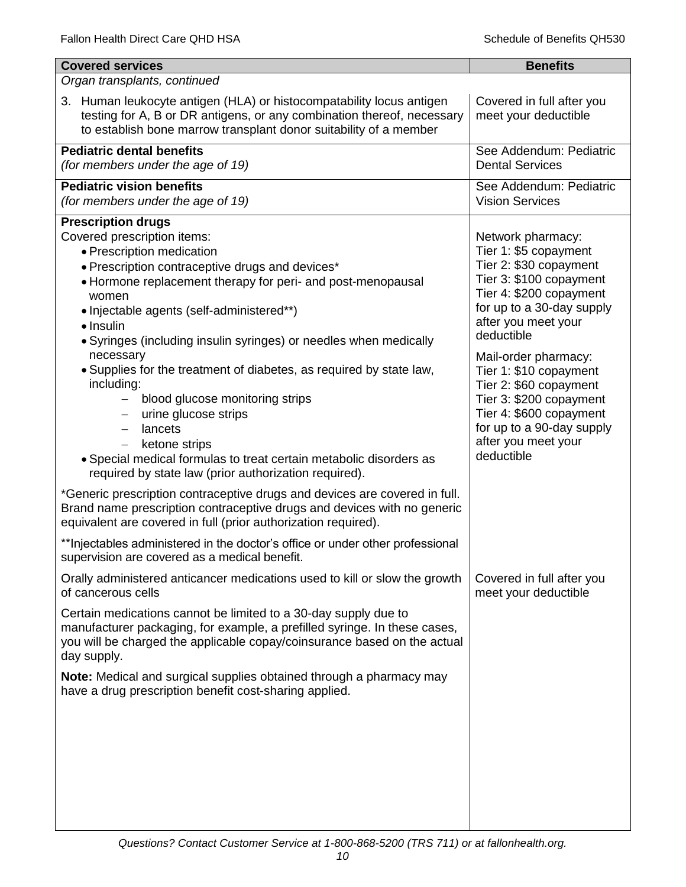| <b>Covered services</b>                                                                                                                                                                                                                                                                                                                                                                                                                                                                                                                                                                                                                                                                                                                                                                                                                                                                                                                                                                                                                                                                       | <b>Benefits</b>                                                                                                                                                                                                                                                                                                                                                                                  |
|-----------------------------------------------------------------------------------------------------------------------------------------------------------------------------------------------------------------------------------------------------------------------------------------------------------------------------------------------------------------------------------------------------------------------------------------------------------------------------------------------------------------------------------------------------------------------------------------------------------------------------------------------------------------------------------------------------------------------------------------------------------------------------------------------------------------------------------------------------------------------------------------------------------------------------------------------------------------------------------------------------------------------------------------------------------------------------------------------|--------------------------------------------------------------------------------------------------------------------------------------------------------------------------------------------------------------------------------------------------------------------------------------------------------------------------------------------------------------------------------------------------|
| Organ transplants, continued                                                                                                                                                                                                                                                                                                                                                                                                                                                                                                                                                                                                                                                                                                                                                                                                                                                                                                                                                                                                                                                                  |                                                                                                                                                                                                                                                                                                                                                                                                  |
| 3. Human leukocyte antigen (HLA) or histocompatability locus antigen<br>testing for A, B or DR antigens, or any combination thereof, necessary<br>to establish bone marrow transplant donor suitability of a member                                                                                                                                                                                                                                                                                                                                                                                                                                                                                                                                                                                                                                                                                                                                                                                                                                                                           | Covered in full after you<br>meet your deductible                                                                                                                                                                                                                                                                                                                                                |
| <b>Pediatric dental benefits</b><br>(for members under the age of 19)                                                                                                                                                                                                                                                                                                                                                                                                                                                                                                                                                                                                                                                                                                                                                                                                                                                                                                                                                                                                                         | See Addendum: Pediatric<br><b>Dental Services</b>                                                                                                                                                                                                                                                                                                                                                |
| <b>Pediatric vision benefits</b><br>(for members under the age of 19)                                                                                                                                                                                                                                                                                                                                                                                                                                                                                                                                                                                                                                                                                                                                                                                                                                                                                                                                                                                                                         | See Addendum: Pediatric<br><b>Vision Services</b>                                                                                                                                                                                                                                                                                                                                                |
| <b>Prescription drugs</b><br>Covered prescription items:<br>• Prescription medication<br>• Prescription contraceptive drugs and devices*<br>• Hormone replacement therapy for peri- and post-menopausal<br>women<br>• Injectable agents (self-administered**)<br>$\bullet$ Insulin<br>• Syringes (including insulin syringes) or needles when medically<br>necessary<br>. Supplies for the treatment of diabetes, as required by state law,<br>including:<br>blood glucose monitoring strips<br>$\overline{\phantom{m}}$<br>urine glucose strips<br>lancets<br>$\qquad \qquad -$<br>ketone strips<br>• Special medical formulas to treat certain metabolic disorders as<br>required by state law (prior authorization required).<br>*Generic prescription contraceptive drugs and devices are covered in full.<br>Brand name prescription contraceptive drugs and devices with no generic<br>equivalent are covered in full (prior authorization required).<br>**Injectables administered in the doctor's office or under other professional<br>supervision are covered as a medical benefit. | Network pharmacy:<br>Tier 1: \$5 copayment<br>Tier 2: \$30 copayment<br>Tier 3: \$100 copayment<br>Tier 4: \$200 copayment<br>for up to a 30-day supply<br>after you meet your<br>deductible<br>Mail-order pharmacy:<br>Tier 1: \$10 copayment<br>Tier 2: \$60 copayment<br>Tier 3: \$200 copayment<br>Tier 4: \$600 copayment<br>for up to a 90-day supply<br>after you meet your<br>deductible |
| Orally administered anticancer medications used to kill or slow the growth<br>of cancerous cells<br>Certain medications cannot be limited to a 30-day supply due to<br>manufacturer packaging, for example, a prefilled syringe. In these cases,<br>you will be charged the applicable copay/coinsurance based on the actual<br>day supply.                                                                                                                                                                                                                                                                                                                                                                                                                                                                                                                                                                                                                                                                                                                                                   | Covered in full after you<br>meet your deductible                                                                                                                                                                                                                                                                                                                                                |
| <b>Note:</b> Medical and surgical supplies obtained through a pharmacy may<br>have a drug prescription benefit cost-sharing applied.                                                                                                                                                                                                                                                                                                                                                                                                                                                                                                                                                                                                                                                                                                                                                                                                                                                                                                                                                          |                                                                                                                                                                                                                                                                                                                                                                                                  |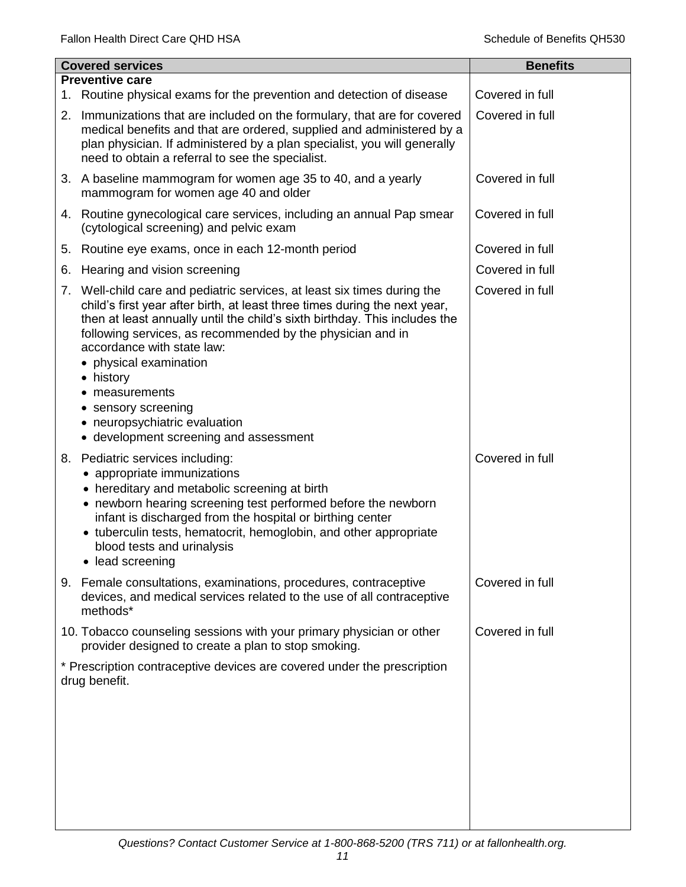|    | <b>Covered services</b>                                                                                                                                                                                                                                                                                                                                                                                                                                                                   | <b>Benefits</b> |
|----|-------------------------------------------------------------------------------------------------------------------------------------------------------------------------------------------------------------------------------------------------------------------------------------------------------------------------------------------------------------------------------------------------------------------------------------------------------------------------------------------|-----------------|
| 1. | <b>Preventive care</b><br>Routine physical exams for the prevention and detection of disease                                                                                                                                                                                                                                                                                                                                                                                              | Covered in full |
| 2. | Immunizations that are included on the formulary, that are for covered<br>medical benefits and that are ordered, supplied and administered by a<br>plan physician. If administered by a plan specialist, you will generally<br>need to obtain a referral to see the specialist.                                                                                                                                                                                                           | Covered in full |
|    | 3. A baseline mammogram for women age 35 to 40, and a yearly<br>mammogram for women age 40 and older                                                                                                                                                                                                                                                                                                                                                                                      | Covered in full |
|    | 4. Routine gynecological care services, including an annual Pap smear<br>(cytological screening) and pelvic exam                                                                                                                                                                                                                                                                                                                                                                          | Covered in full |
| 5. | Routine eye exams, once in each 12-month period                                                                                                                                                                                                                                                                                                                                                                                                                                           | Covered in full |
| 6. | Hearing and vision screening                                                                                                                                                                                                                                                                                                                                                                                                                                                              | Covered in full |
| 7. | Well-child care and pediatric services, at least six times during the<br>child's first year after birth, at least three times during the next year,<br>then at least annually until the child's sixth birthday. This includes the<br>following services, as recommended by the physician and in<br>accordance with state law:<br>physical examination<br>• history<br>measurements<br>٠<br>• sensory screening<br>• neuropsychiatric evaluation<br>• development screening and assessment | Covered in full |
| 8. | Pediatric services including:<br>• appropriate immunizations<br>• hereditary and metabolic screening at birth<br>• newborn hearing screening test performed before the newborn<br>infant is discharged from the hospital or birthing center<br>• tuberculin tests, hematocrit, hemoglobin, and other appropriate<br>blood tests and urinalysis<br>• lead screening                                                                                                                        | Covered in full |
|    | 9. Female consultations, examinations, procedures, contraceptive<br>devices, and medical services related to the use of all contraceptive<br>methods*                                                                                                                                                                                                                                                                                                                                     | Covered in full |
|    | 10. Tobacco counseling sessions with your primary physician or other<br>provider designed to create a plan to stop smoking.                                                                                                                                                                                                                                                                                                                                                               | Covered in full |
|    | * Prescription contraceptive devices are covered under the prescription<br>drug benefit.                                                                                                                                                                                                                                                                                                                                                                                                  |                 |
|    |                                                                                                                                                                                                                                                                                                                                                                                                                                                                                           |                 |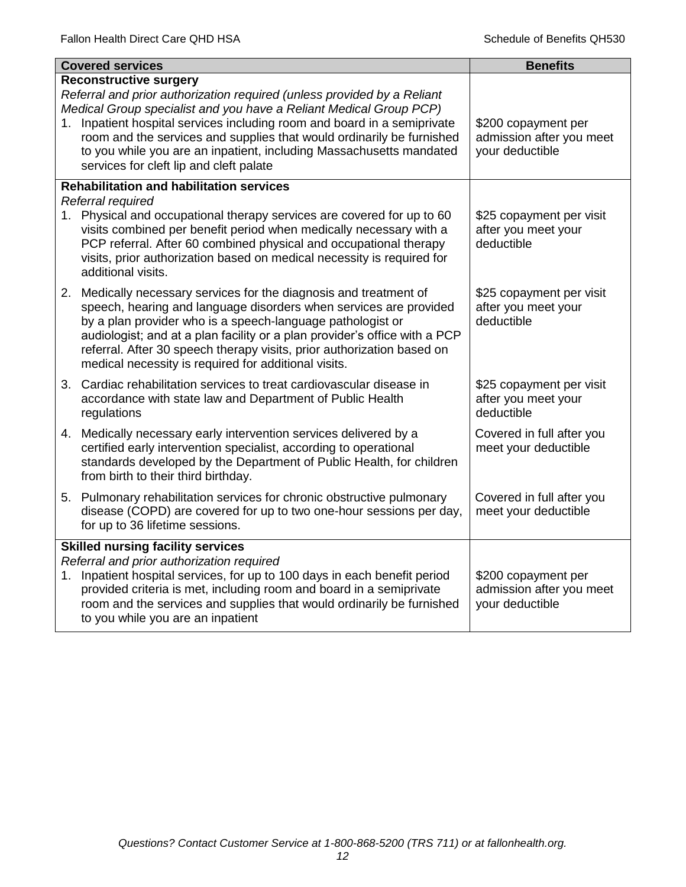|    | <b>Covered services</b>                                                                                                                                                                                                                                                                                                                                                                                                                               | <b>Benefits</b>                                                    |
|----|-------------------------------------------------------------------------------------------------------------------------------------------------------------------------------------------------------------------------------------------------------------------------------------------------------------------------------------------------------------------------------------------------------------------------------------------------------|--------------------------------------------------------------------|
|    | <b>Reconstructive surgery</b><br>Referral and prior authorization required (unless provided by a Reliant<br>Medical Group specialist and you have a Reliant Medical Group PCP)<br>1. Inpatient hospital services including room and board in a semiprivate<br>room and the services and supplies that would ordinarily be furnished<br>to you while you are an inpatient, including Massachusetts mandated<br>services for cleft lip and cleft palate | \$200 copayment per<br>admission after you meet<br>your deductible |
|    | <b>Rehabilitation and habilitation services</b><br>Referral required                                                                                                                                                                                                                                                                                                                                                                                  |                                                                    |
|    | 1. Physical and occupational therapy services are covered for up to 60<br>visits combined per benefit period when medically necessary with a<br>PCP referral. After 60 combined physical and occupational therapy<br>visits, prior authorization based on medical necessity is required for<br>additional visits.                                                                                                                                     | \$25 copayment per visit<br>after you meet your<br>deductible      |
|    | 2. Medically necessary services for the diagnosis and treatment of<br>speech, hearing and language disorders when services are provided<br>by a plan provider who is a speech-language pathologist or<br>audiologist; and at a plan facility or a plan provider's office with a PCP<br>referral. After 30 speech therapy visits, prior authorization based on<br>medical necessity is required for additional visits.                                 | \$25 copayment per visit<br>after you meet your<br>deductible      |
|    | 3. Cardiac rehabilitation services to treat cardiovascular disease in<br>accordance with state law and Department of Public Health<br>regulations                                                                                                                                                                                                                                                                                                     | \$25 copayment per visit<br>after you meet your<br>deductible      |
|    | 4. Medically necessary early intervention services delivered by a<br>certified early intervention specialist, according to operational<br>standards developed by the Department of Public Health, for children<br>from birth to their third birthday.                                                                                                                                                                                                 | Covered in full after you<br>meet your deductible                  |
|    | 5. Pulmonary rehabilitation services for chronic obstructive pulmonary<br>disease (COPD) are covered for up to two one-hour sessions per day,<br>for up to 36 lifetime sessions.                                                                                                                                                                                                                                                                      | Covered in full after you<br>meet your deductible                  |
| 1. | <b>Skilled nursing facility services</b><br>Referral and prior authorization required<br>Inpatient hospital services, for up to 100 days in each benefit period<br>provided criteria is met, including room and board in a semiprivate<br>room and the services and supplies that would ordinarily be furnished<br>to you while you are an inpatient                                                                                                  | \$200 copayment per<br>admission after you meet<br>your deductible |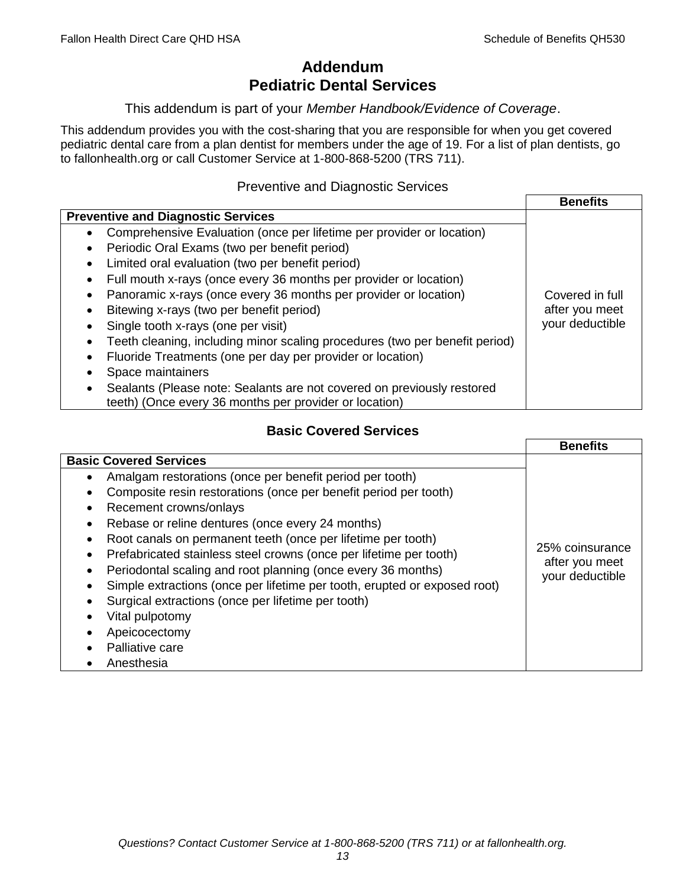# **Addendum Pediatric Dental Services**

### This addendum is part of your *Member Handbook/Evidence of Coverage*.

This addendum provides you with the cost-sharing that you are responsible for when you get covered pediatric dental care from a plan dentist for members under the age of 19. For a list of plan dentists, go to fallonhealth.org or call Customer Service at 1-800-868-5200 (TRS 711).

### Preventive and Diagnostic Services

|                                                                                                                                  | <b>Benefits</b> |
|----------------------------------------------------------------------------------------------------------------------------------|-----------------|
| <b>Preventive and Diagnostic Services</b>                                                                                        |                 |
| Comprehensive Evaluation (once per lifetime per provider or location)<br>$\bullet$                                               |                 |
| Periodic Oral Exams (two per benefit period)                                                                                     |                 |
| Limited oral evaluation (two per benefit period)                                                                                 |                 |
| Full mouth x-rays (once every 36 months per provider or location)                                                                |                 |
| Panoramic x-rays (once every 36 months per provider or location)                                                                 | Covered in full |
| Bitewing x-rays (two per benefit period)                                                                                         | after you meet  |
| Single tooth x-rays (one per visit)                                                                                              | your deductible |
| Teeth cleaning, including minor scaling procedures (two per benefit period)                                                      |                 |
| Fluoride Treatments (one per day per provider or location)                                                                       |                 |
| Space maintainers                                                                                                                |                 |
| Sealants (Please note: Sealants are not covered on previously restored<br>teeth) (Once every 36 months per provider or location) |                 |

## **Basic Covered Services**

|                                                                           | <b>Benefits</b>                   |
|---------------------------------------------------------------------------|-----------------------------------|
| <b>Basic Covered Services</b>                                             |                                   |
| Amalgam restorations (once per benefit period per tooth)                  |                                   |
| Composite resin restorations (once per benefit period per tooth)          |                                   |
| Recement crowns/onlays                                                    |                                   |
| Rebase or reline dentures (once every 24 months)                          |                                   |
| Root canals on permanent teeth (once per lifetime per tooth)              |                                   |
| Prefabricated stainless steel crowns (once per lifetime per tooth)        | 25% coinsurance                   |
| Periodontal scaling and root planning (once every 36 months)              | after you meet<br>your deductible |
| Simple extractions (once per lifetime per tooth, erupted or exposed root) |                                   |
| Surgical extractions (once per lifetime per tooth)                        |                                   |
| Vital pulpotomy                                                           |                                   |
| Apeicocectomy                                                             |                                   |
| Palliative care                                                           |                                   |
| Anesthesia                                                                |                                   |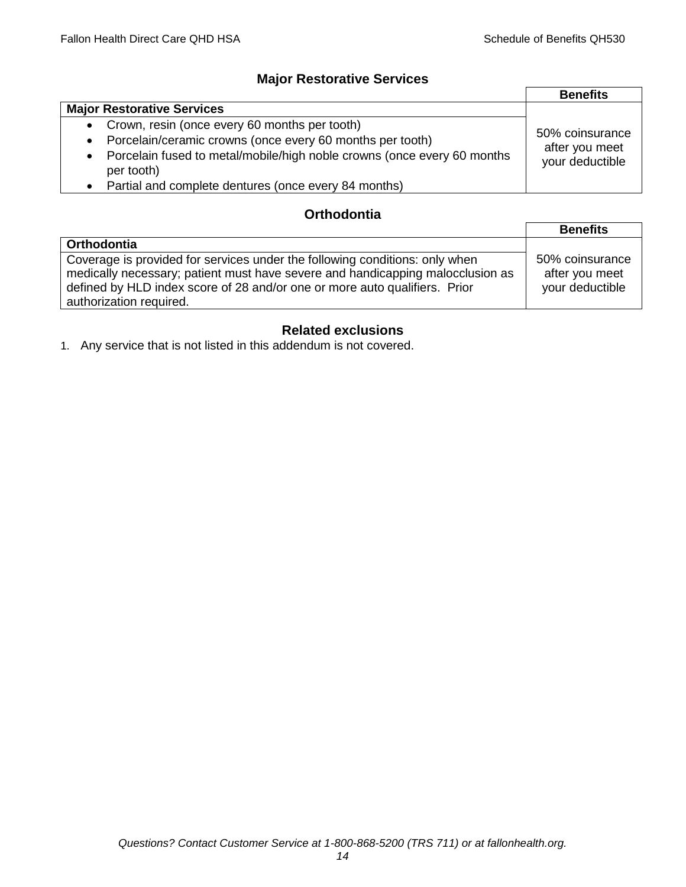## **Major Restorative Services**

|                                                                                                    | <b>Benefits</b>                                      |
|----------------------------------------------------------------------------------------------------|------------------------------------------------------|
| <b>Major Restorative Services</b>                                                                  |                                                      |
| Crown, resin (once every 60 months per tooth)<br>$\bullet$                                         | 50% coinsurance<br>after you meet<br>your deductible |
| Porcelain/ceramic crowns (once every 60 months per tooth)<br>$\bullet$                             |                                                      |
| Porcelain fused to metal/mobile/high noble crowns (once every 60 months<br>$\bullet$<br>per tooth) |                                                      |
| Partial and complete dentures (once every 84 months)                                               |                                                      |

## **Orthodontia**

|                                                                                                                                                                                                                                                                        | <b>Benefits</b>                                      |
|------------------------------------------------------------------------------------------------------------------------------------------------------------------------------------------------------------------------------------------------------------------------|------------------------------------------------------|
| Orthodontia                                                                                                                                                                                                                                                            |                                                      |
| Coverage is provided for services under the following conditions: only when<br>medically necessary; patient must have severe and handicapping malocclusion as<br>defined by HLD index score of 28 and/or one or more auto qualifiers. Prior<br>authorization required. | 50% coinsurance<br>after you meet<br>your deductible |

## **Related exclusions**

1. Any service that is not listed in this addendum is not covered.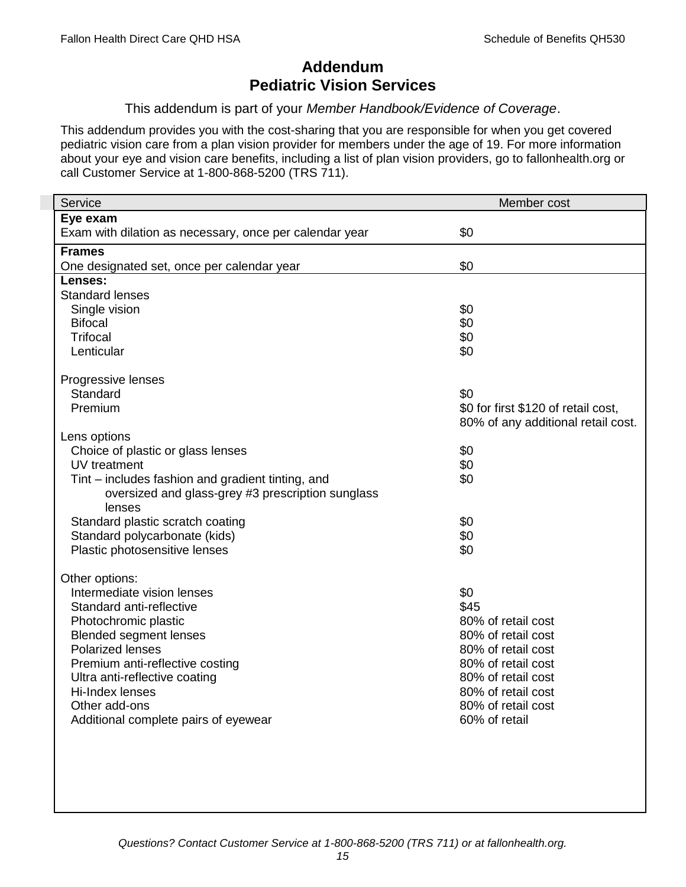# **Addendum Pediatric Vision Services**

### This addendum is part of your *Member Handbook/Evidence of Coverage*.

This addendum provides you with the cost-sharing that you are responsible for when you get covered pediatric vision care from a plan vision provider for members under the age of 19. For more information about your eye and vision care benefits, including a list of plan vision providers, go to fallonhealth.org or call Customer Service at 1-800-868-5200 (TRS 711).

| Service                                                 | Member cost                         |
|---------------------------------------------------------|-------------------------------------|
| Eye exam                                                |                                     |
| Exam with dilation as necessary, once per calendar year | \$0                                 |
| <b>Frames</b>                                           |                                     |
| One designated set, once per calendar year              | \$0                                 |
| Lenses:                                                 |                                     |
| <b>Standard lenses</b>                                  |                                     |
| Single vision                                           | \$0                                 |
| <b>Bifocal</b>                                          | \$0                                 |
| <b>Trifocal</b>                                         | \$0                                 |
| Lenticular                                              | \$0                                 |
| Progressive lenses                                      |                                     |
| Standard                                                | \$0                                 |
| Premium                                                 | \$0 for first \$120 of retail cost, |
|                                                         | 80% of any additional retail cost.  |
| Lens options                                            |                                     |
| Choice of plastic or glass lenses                       | \$0                                 |
| UV treatment                                            | \$0                                 |
| Tint – includes fashion and gradient tinting, and       | \$0                                 |
| oversized and glass-grey #3 prescription sunglass       |                                     |
| lenses                                                  |                                     |
| Standard plastic scratch coating                        | \$0                                 |
| Standard polycarbonate (kids)                           | \$0                                 |
| Plastic photosensitive lenses                           | \$0                                 |
| Other options:                                          |                                     |
| Intermediate vision lenses                              | \$0                                 |
| Standard anti-reflective                                | \$45                                |
| Photochromic plastic                                    | 80% of retail cost                  |
| <b>Blended segment lenses</b>                           | 80% of retail cost                  |
| <b>Polarized lenses</b>                                 | 80% of retail cost                  |
| Premium anti-reflective costing                         | 80% of retail cost                  |
| Ultra anti-reflective coating                           | 80% of retail cost                  |
| Hi-Index lenses                                         | 80% of retail cost                  |
| Other add-ons                                           | 80% of retail cost                  |
| Additional complete pairs of eyewear                    | 60% of retail                       |
|                                                         |                                     |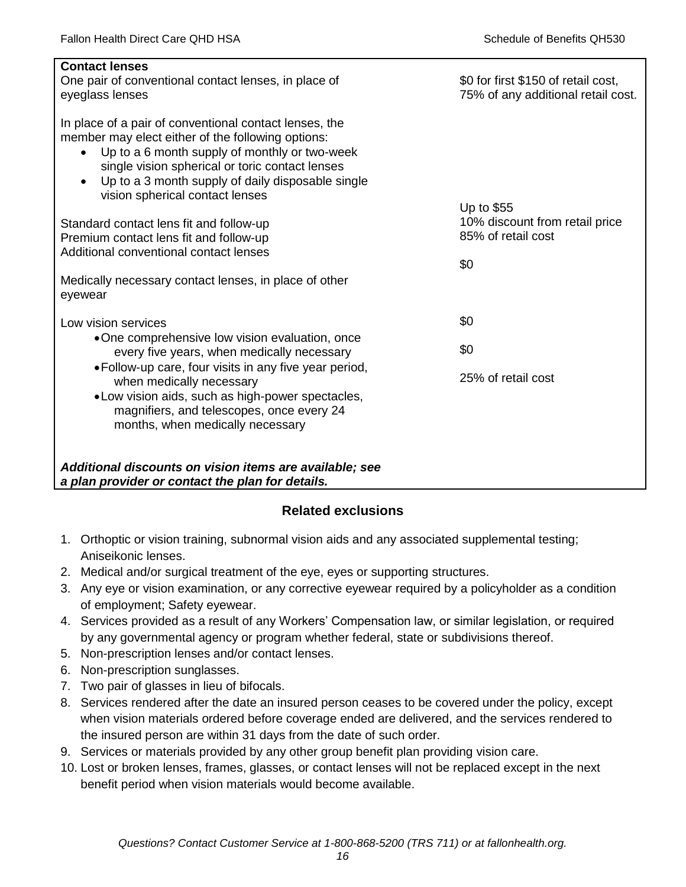| <b>Contact lenses</b><br>One pair of conventional contact lenses, in place of<br>eyeglass lenses                                                                                                                                                                                                                                  | \$0 for first \$150 of retail cost,<br>75% of any additional retail cost. |
|-----------------------------------------------------------------------------------------------------------------------------------------------------------------------------------------------------------------------------------------------------------------------------------------------------------------------------------|---------------------------------------------------------------------------|
| In place of a pair of conventional contact lenses, the<br>member may elect either of the following options:<br>Up to a 6 month supply of monthly or two-week<br>$\bullet$<br>single vision spherical or toric contact lenses<br>Up to a 3 month supply of daily disposable single<br>$\bullet$<br>vision spherical contact lenses |                                                                           |
| Standard contact lens fit and follow-up                                                                                                                                                                                                                                                                                           | Up to $$55$<br>10% discount from retail price                             |
| Premium contact lens fit and follow-up                                                                                                                                                                                                                                                                                            | 85% of retail cost                                                        |
| Additional conventional contact lenses                                                                                                                                                                                                                                                                                            | \$0                                                                       |
| Medically necessary contact lenses, in place of other<br>eyewear                                                                                                                                                                                                                                                                  |                                                                           |
| Low vision services                                                                                                                                                                                                                                                                                                               | \$0                                                                       |
| •One comprehensive low vision evaluation, once<br>every five years, when medically necessary                                                                                                                                                                                                                                      | \$0                                                                       |
| • Follow-up care, four visits in any five year period,<br>when medically necessary<br>.Low vision aids, such as high-power spectacles,<br>magnifiers, and telescopes, once every 24<br>months, when medically necessary                                                                                                           | 25% of retail cost                                                        |
| Additional discounts on vision items are available; see<br>a plan provider or contact the plan for details.                                                                                                                                                                                                                       |                                                                           |

## **Related exclusions**

- 1. Orthoptic or vision training, subnormal vision aids and any associated supplemental testing; Aniseikonic lenses.
- 2. Medical and/or surgical treatment of the eye, eyes or supporting structures.
- 3. Any eye or vision examination, or any corrective eyewear required by a policyholder as a condition of employment; Safety eyewear.
- 4. Services provided as a result of any Workers' Compensation law, or similar legislation, or required by any governmental agency or program whether federal, state or subdivisions thereof.
- 5. Non-prescription lenses and/or contact lenses.
- 6. Non-prescription sunglasses.
- 7. Two pair of glasses in lieu of bifocals.
- 8. Services rendered after the date an insured person ceases to be covered under the policy, except when vision materials ordered before coverage ended are delivered, and the services rendered to the insured person are within 31 days from the date of such order.
- 9. Services or materials provided by any other group benefit plan providing vision care.
- 10. Lost or broken lenses, frames, glasses, or contact lenses will not be replaced except in the next benefit period when vision materials would become available.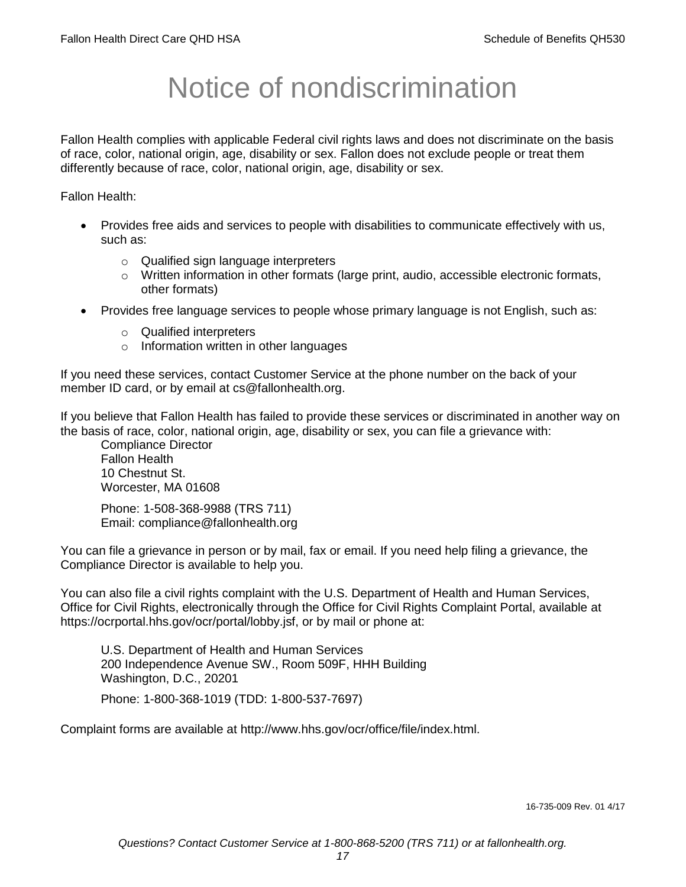# Notice of nondiscrimination

Fallon Health complies with applicable Federal civil rights laws and does not discriminate on the basis of race, color, national origin, age, disability or sex. Fallon does not exclude people or treat them differently because of race, color, national origin, age, disability or sex.

Fallon Health:

- Provides free aids and services to people with disabilities to communicate effectively with us, such as:
	- o Qualified sign language interpreters
	- $\circ$  Written information in other formats (large print, audio, accessible electronic formats, other formats)
- Provides free language services to people whose primary language is not English, such as:
	- o Qualified interpreters
	- o Information written in other languages

If you need these services, contact Customer Service at the phone number on the back of your member ID card, or by email at cs@fallonhealth.org.

If you believe that Fallon Health has failed to provide these services or discriminated in another way on the basis of race, color, national origin, age, disability or sex, you can file a grievance with:

Compliance Director Fallon Health 10 Chestnut St. Worcester, MA 01608

Phone: 1-508-368-9988 (TRS 711) Email: compliance@fallonhealth.org

You can file a grievance in person or by mail, fax or email. If you need help filing a grievance, the Compliance Director is available to help you.

You can also file a civil rights complaint with the U.S. Department of Health and Human Services, Office for Civil Rights, electronically through the Office for Civil Rights Complaint Portal, available at https://ocrportal.hhs.gov/ocr/portal/lobby.jsf, or by mail or phone at:

U.S. Department of Health and Human Services 200 Independence Avenue SW., Room 509F, HHH Building Washington, D.C., 20201

Phone: 1-800-368-1019 (TDD: 1-800-537-7697)

Complaint forms are available at http://www.hhs.gov/ocr/office/file/index.html.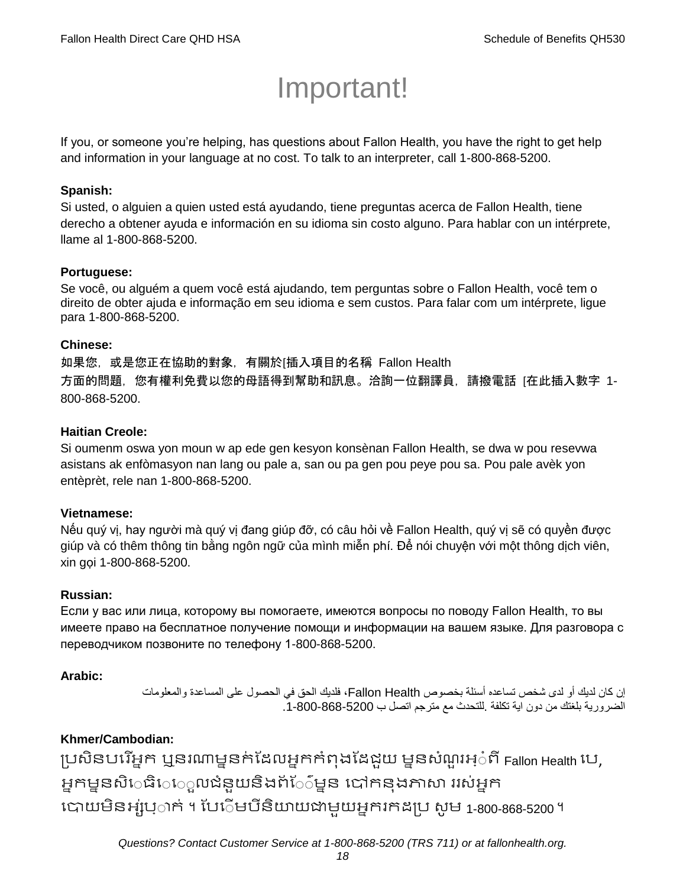# Important!

If you, or someone you're helping, has questions about Fallon Health, you have the right to get help and information in your language at no cost. To talk to an interpreter, call 1-800-868-5200.

### **Spanish:**

Si usted, o alguien a quien usted está ayudando, tiene preguntas acerca de Fallon Health, tiene derecho a obtener ayuda e información en su idioma sin costo alguno. Para hablar con un intérprete, llame al 1-800-868-5200.

### **Portuguese:**

Se você, ou alguém a quem você está ajudando, tem perguntas sobre o Fallon Health, você tem o direito de obter ajuda e informação em seu idioma e sem custos. Para falar com um intérprete, ligue para 1-800-868-5200.

### **Chinese:**

如果您,或是您正在協助的對象,有關於[插入項目的名稱 Fallon Health 方面的問題,您有權利免費以您的母語得到幫助和訊息。洽詢一位翻譯員,請撥電話 [在此插入數字 1- 800-868-5200.

### **Haitian Creole:**

Si oumenm oswa yon moun w ap ede gen kesyon konsènan Fallon Health, se dwa w pou resevwa asistans ak enfòmasyon nan lang ou pale a, san ou pa gen pou peye pou sa. Pou pale avèk yon entèprèt, rele nan 1-800-868-5200.

### **Vietnamese:**

Nếu quý vị, hay người mà quý vị đang giúp đỡ, có câu hỏi về Fallon Health, quý vị sẽ có quyền được giúp và có thêm thông tin bằng ngôn ngữ của mình miễn phí. Để nói chuyện với một thông dịch viên, xin gọi 1-800-868-5200.

### **Russian:**

Если у вас или лица, которому вы помогаете, имеются вопросы по поводу Fallon Health, то вы имеете право на бесплатное получение помощи и информации на вашем языке. Для разговора с переводчиком позвоните по телефону 1-800-868-5200.

### **Arabic:**

إن كان لديك أو لدى شخص تساعده أسئلة بخصوص Health Fallon، فلديك الحق في الحصول على المساعدة والمعلومات الضرورية بلغتك من دون اية تكلفة .للتحدث مع مترجم اتصل ب .1-800-868-5200

## **Khmer/Cambodian:**

ប្រសិនបរើអ្នក ឬនរណាម្ននក់ដែលអ្នកកំពុងដែដួយ ម្ននសំណួរអ្៎ពី Fallon Health បេ, អ្នកម្ននសិេធិេេួលជំនួយនិងព័ែ៌ម្នន បៅកនុងភាសា ររស់អ្នក រោយម្ិនអ្ស់រ្ំ ក់ ។ ដររំម្ រនី ិយាយជាម្ួយអ្នក កែប្រ សូ ម្ 1-800-868-5200 ។

*Questions? Contact Customer Service at 1-800-868-5200 (TRS 711) or at fallonhealth.org.*